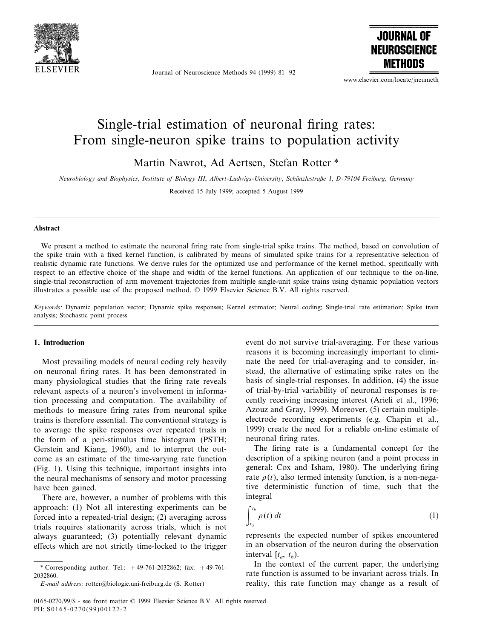

Journal of Neuroscience Methods 94 (1999) 81–92



www.elsevier.com/locate/jneumeth

# Single-trial estimation of neuronal firing rates: From single-neuron spike trains to population activity

Martin Nawrot, Ad Aertsen, Stefan Rotter \*

*Neurobiology and Biophysics*, *Institute of Biology III*, *Albert*-*Ludwigs*-*Uni*6*ersity*, *Scha¨nzlestraße* <sup>1</sup>, *D*-<sup>79104</sup> *Freiburg*, *Germany*

Received 15 July 1999; accepted 5 August 1999

#### **Abstract**

We present a method to estimate the neuronal firing rate from single-trial spike trains. The method, based on convolution of the spike train with a fixed kernel function, is calibrated by means of simulated spike trains for a representative selection of realistic dynamic rate functions. We derive rules for the optimized use and performance of the kernel method, specifically with respect to an effective choice of the shape and width of the kernel functions. An application of our technique to the on-line, single-trial reconstruction of arm movement trajectories from multiple single-unit spike trains using dynamic population vectors illustrates a possible use of the proposed method. © 1999 Elsevier Science B.V. All rights reserved.

*Keywords*: Dynamic population vector; Dynamic spike responses; Kernel estimator; Neural coding; Single-trial rate estimation; Spike train analysis; Stochastic point process

## **1. Introduction**

Most prevailing models of neural coding rely heavily on neuronal firing rates. It has been demonstrated in many physiological studies that the firing rate reveals relevant aspects of a neuron's involvement in information processing and computation. The availability of methods to measure firing rates from neuronal spike trains is therefore essential. The conventional strategy is to average the spike responses over repeated trials in the form of a peri-stimulus time histogram (PSTH; Gerstein and Kiang, 1960), and to interpret the outcome as an estimate of the time-varying rate function (Fig. 1). Using this technique, important insights into the neural mechanisms of sensory and motor processing have been gained.

There are, however, a number of problems with this approach: (1) Not all interesting experiments can be forced into a repeated-trial design; (2) averaging across trials requires stationarity across trials, which is not always guaranteed; (3) potentially relevant dynamic effects which are not strictly time-locked to the trigger

event do not survive trial-averaging. For these various reasons it is becoming increasingly important to eliminate the need for trial-averaging and to consider, instead, the alternative of estimating spike rates on the basis of single-trial responses. In addition, (4) the issue of trial-by-trial variability of neuronal responses is recently receiving increasing interest (Arieli et al., 1996; Azouz and Gray, 1999). Moreover, (5) certain multipleelectrode recording experiments (e.g. Chapin et al., 1999) create the need for a reliable on-line estimate of neuronal firing rates.

The firing rate is a fundamental concept for the description of a spiking neuron (and a point process in general; Cox and Isham, 1980). The underlying firing rate  $\rho(t)$ , also termed intensity function, is a non-negative deterministic function of time, such that the integral

$$
\int_{t_a}^{t_b} \rho(t) dt \tag{1}
$$

represents the expected number of spikes encountered in an observation of the neuron during the observation interval  $[t_a, t_b)$ .

In the context of the current paper, the underlying rate function is assumed to be invariant across trials. In reality, this rate function may change as a result of

<sup>\*</sup> Corresponding author. Tel.: +49-761-2032862; fax: +49-761- 2032860.

*E*-*mail address*: rotter@biologie.uni-freiburg.de (S. Rotter)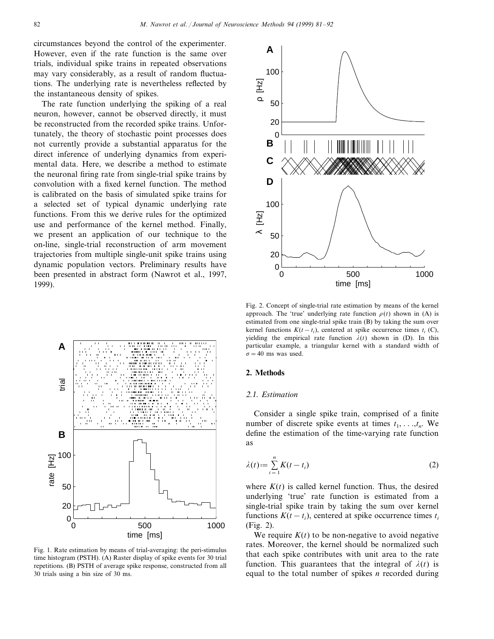circumstances beyond the control of the experimenter. However, even if the rate function is the same over trials, individual spike trains in repeated observations may vary considerably, as a result of random fluctuations. The underlying rate is nevertheless reflected by the instantaneous density of spikes.

The rate function underlying the spiking of a real neuron, however, cannot be observed directly, it must be reconstructed from the recorded spike trains. Unfortunately, the theory of stochastic point processes does not currently provide a substantial apparatus for the direct inference of underlying dynamics from experimental data. Here, we describe a method to estimate the neuronal firing rate from single-trial spike trains by convolution with a fixed kernel function. The method is calibrated on the basis of simulated spike trains for a selected set of typical dynamic underlying rate functions. From this we derive rules for the optimized use and performance of the kernel method. Finally, we present an application of our technique to the on-line, single-trial reconstruction of arm movement trajectories from multiple single-unit spike trains using dynamic population vectors. Preliminary results have been presented in abstract form (Nawrot et al., 1997, 1999).



Fig. 1. Rate estimation by means of trial-averaging: the peri-stimulus time histogram (PSTH). (A) Raster display of spike events for 30 trial repetitions. (B) PSTH of average spike response, constructed from all 30 trials using a bin size of 30 ms.



Fig. 2. Concept of single-trial rate estimation by means of the kernel approach. The 'true' underlying rate function  $\rho(t)$  shown in (A) is estimated from one single-trial spike train (B) by taking the sum over kernel functions  $K(t-t_i)$ , centered at spike occurrence times  $t_i$  (C), yielding the empirical rate function  $\lambda(t)$  shown in (D). In this particular example, a triangular kernel with a standard width of  $\sigma$  = 40 ms was used.

## **2. Methods**

## <sup>2</sup>.1. *Estimation*

Consider a single spike train, comprised of a finite number of discrete spike events at times  $t_1, \ldots, t_n$ . We define the estimation of the time-varying rate function as

$$
\lambda(t) := \sum_{i=1}^{n} K(t - t_i)
$$
\n(2)

where  $K(t)$  is called kernel function. Thus, the desired underlying 'true' rate function is estimated from a single-trial spike train by taking the sum over kernel functions  $K(t - t_i)$ , centered at spike occurrence times  $t_i$ (Fig. 2).

We require  $K(t)$  to be non-negative to avoid negative rates. Moreover, the kernel should be normalized such that each spike contributes with unit area to the rate function. This guarantees that the integral of  $\lambda(t)$  is equal to the total number of spikes *n* recorded during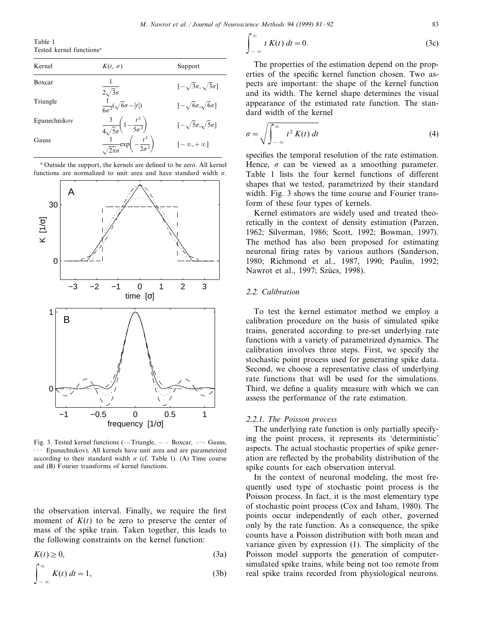Table 1 Tested kernel functions<sup>a</sup>

| Kernel       | $K(t, \sigma)$                                                                                                                       | Support                               |
|--------------|--------------------------------------------------------------------------------------------------------------------------------------|---------------------------------------|
| Boxcar       |                                                                                                                                      | $[-\sqrt{3}\sigma, \sqrt{3}\sigma]$   |
| Triangle     | $\frac{\frac{1}{2\sqrt{3}\sigma}}{\frac{1}{6\sigma^2}(\sqrt{6}\sigma -  t )}$                                                        | $[-\sqrt{6\sigma_{,}\sqrt{6\sigma}}]$ |
| Epanechnikov |                                                                                                                                      | $[-\sqrt{5}\sigma,\sqrt{5}\sigma]$    |
| Gauss        | $\frac{3}{4\sqrt{5}\sigma}\left(1-\frac{t^2}{5\sigma^2}\right)$ $\frac{1}{\sqrt{2\pi}\sigma}\exp\left(-\frac{t^2}{2\sigma^2}\right)$ | $[-\infty, +\infty]$                  |



<sup>a</sup> Outside the support, the kernels are defined to be zero. All kernel functions are normalized to unit area and have standard width  $\sigma$ .

Fig. 3. Tested kernel functions (—Triangle, – – Boxcar, –·– Gauss, Epanechnikov). All kernels have unit area and are parametrized according to their standard width  $\sigma$  (cf. Table 1). (A) Time course and (B) Fourier transforms of kernel functions.

the observation interval. Finally, we require the first moment of  $K(t)$  to be zero to preserve the center of mass of the spike train. Taken together, this leads to the following constraints on the kernel function:

$$
K(t) \ge 0,\tag{3a}
$$

$$
\int_{-\infty}^{\infty} K(t) dt = 1,
$$
\n(3b)

$$
\int_{-\infty}^{\infty} t K(t) dt = 0.
$$
 (3c)

The properties of the estimation depend on the properties of the specific kernel function chosen. Two aspects are important: the shape of the kernel function and its width. The kernel shape determines the visual appearance of the estimated rate function. The standard width of the kernel

$$
\sigma = \sqrt{\int_{-\infty}^{\infty} t^2 K(t) dt}
$$
 (4)

specifies the temporal resolution of the rate estimation. Hence,  $\sigma$  can be viewed as a smoothing parameter. Table 1 lists the four kernel functions of different shapes that we tested, parametrized by their standard width. Fig. 3 shows the time course and Fourier transform of these four types of kernels.

Kernel estimators are widely used and treated theoretically in the context of density estimation (Parzen, 1962; Silverman, 1986; Scott, 1992; Bowman, 1997). The method has also been proposed for estimating neuronal firing rates by various authors (Sanderson, 1980; Richmond et al., 1987, 1990; Paulin, 1992; Nawrot et al., 1997; Szücs, 1998).

# <sup>2</sup>.2. *Calibration*

To test the kernel estimator method we employ a calibration procedure on the basis of simulated spike trains, generated according to pre-set underlying rate functions with a variety of parametrized dynamics. The calibration involves three steps. First, we specify the stochastic point process used for generating spike data. Second, we choose a representative class of underlying rate functions that will be used for the simulations. Third, we define a quality measure with which we can assess the performance of the rate estimation.

#### <sup>2</sup>.2.1. *The Poisson process*

The underlying rate function is only partially specifying the point process, it represents its 'deterministic' aspects. The actual stochastic properties of spike generation are reflected by the probability distribution of the spike counts for each observation interval.

In the context of neuronal modeling, the most frequently used type of stochastic point process is the Poisson process. In fact, it is the most elementary type of stochastic point process (Cox and Isham, 1980). The points occur independently of each other, governed only by the rate function. As a consequence, the spike counts have a Poisson distribution with both mean and variance given by expression (1). The simplicity of the Poisson model supports the generation of computersimulated spike trains, while being not too remote from real spike trains recorded from physiological neurons.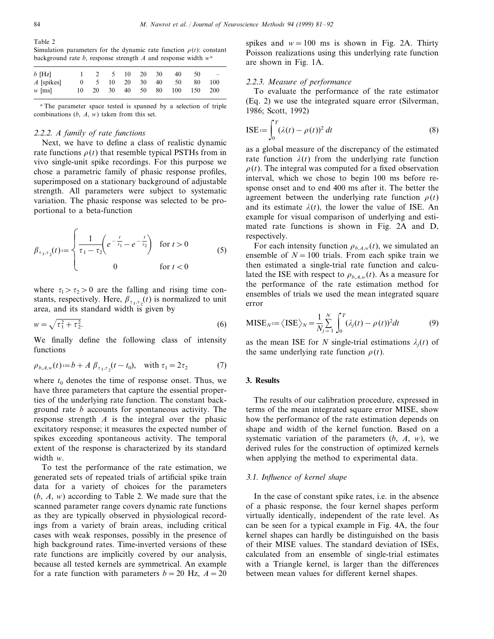Table 2 Simulation parameters for the dynamic rate function  $\rho(t)$ : constant background rate *b*, response strength *A* and response width *w*<sup>a</sup>

| $b$ [Hz]                |  |  | $1 \t2 \t5 \t10 \t20 \t30$ | 40                            | 50 | $\sim$ $-$ |
|-------------------------|--|--|----------------------------|-------------------------------|----|------------|
| $\overline{A}$ [spikes] |  |  |                            | 0 5 10 20 30 40 50            | 80 | -- 100     |
| $w$ [ms]                |  |  |                            | 10 20 30 40 50 80 100 150 200 |    |            |

<sup>a</sup> The parameter space tested is spanned by a selection of triple combinations (*b*, *A*, *w*) taken from this set.

## <sup>2</sup>.2.2. *A family of rate functions*

Next, we have to define a class of realistic dynamic rate functions  $\rho(t)$  that resemble typical PSTHs from in vivo single-unit spike recordings. For this purpose we chose a parametric family of phasic response profiles, superimposed on a stationary background of adjustable strength. All parameters were subject to systematic variation. The phasic response was selected to be proportional to a beta-function

$$
\beta_{\tau_1, \tau_2}(t) := \begin{cases} \frac{1}{\tau_1 - \tau_2} \left( e^{-\frac{t}{\tau_1}} - e^{-\frac{t}{\tau_2}} \right) & \text{for } t > 0 \\ 0 & \text{for } t < 0 \end{cases}
$$
(5)

where  $\tau_1 > \tau_2 > 0$  are the falling and rising time constants, respectively. Here,  $\beta_{\tau_1,\tau_2}(t)$  is normalized to unit area, and its standard width is given by

$$
w = \sqrt{\tau_1^2 + \tau_2^2}.
$$
 (6)

We finally define the following class of intensity functions

$$
\rho_{b,A,w}(t) := b + A \beta_{\tau_1, \tau_2}(t - t_0), \quad \text{with } \tau_1 = 2\tau_2 \tag{7}
$$

where  $t_0$  denotes the time of response onset. Thus, we have three parameters that capture the essential properties of the underlying rate function. The constant background rate *b* accounts for spontaneous activity. The response strength *A* is the integral over the phasic excitatory response; it measures the expected number of spikes exceeding spontaneous activity. The temporal extent of the response is characterized by its standard width *w*.

To test the performance of the rate estimation, we generated sets of repeated trials of artificial spike train data for a variety of choices for the parameters (*b*, *A*, *w*) according to Table 2. We made sure that the scanned parameter range covers dynamic rate functions as they are typically observed in physiological recordings from a variety of brain areas, including critical cases with weak responses, possibly in the presence of high background rates. Time-inverted versions of these rate functions are implicitly covered by our analysis, because all tested kernels are symmetrical. An example for a rate function with parameters  $b = 20$  Hz,  $A = 20$ 

spikes and  $w=100$  ms is shown in Fig. 2A. Thirty Poisson realizations using this underlying rate function are shown in Fig. 1A.

# <sup>2</sup>.2.3. *Measure of performance*

To evaluate the performance of the rate estimator (Eq. 2) we use the integrated square error (Silverman, 1986; Scott, 1992)

$$
ISE := \int_0^T (\lambda(t) - \rho(t))^2 dt
$$
 (8)

as a global measure of the discrepancy of the estimated rate function  $\lambda(t)$  from the underlying rate function  $\rho(t)$ . The integral was computed for a fixed observation interval, which we chose to begin 100 ms before response onset and to end 400 ms after it. The better the agreement between the underlying rate function  $\rho(t)$ and its estimate  $\lambda(t)$ , the lower the value of ISE. An example for visual comparison of underlying and estimated rate functions is shown in Fig. 2A and D, respectively.

For each intensity function  $\rho_{b,A,w}(t)$ , we simulated an ensemble of  $N = 100$  trials. From each spike train we then estimated a single-trial rate function and calculated the ISE with respect to  $\rho_{b,A,w}(t)$ . As a measure for the performance of the rate estimation method for ensembles of trials we used the mean integrated square error

$$
MISE_N := \langle ISE \rangle_N = \frac{1}{N_j} \sum_{j=1}^N \int_0^T (\lambda_j(t) - \rho(t))^2 dt
$$
 (9)

as the mean ISE for *N* single-trial estimations  $\lambda_i(t)$  of the same underlying rate function  $\rho(t)$ .

## **3. Results**

The results of our calibration procedure, expressed in terms of the mean integrated square error MISE, show how the performance of the rate estimation depends on shape and width of the kernel function. Based on a systematic variation of the parameters (*b*, *A*, *w*), we derived rules for the construction of optimized kernels when applying the method to experimental data.

#### 3.1. *Influence of kernel shape*

In the case of constant spike rates, i.e. in the absence of a phasic response, the four kernel shapes perform virtually identically, independent of the rate level. As can be seen for a typical example in Fig. 4A, the four kernel shapes can hardly be distinguished on the basis of their MISE values. The standard deviation of ISEs, calculated from an ensemble of single-trial estimates with a Triangle kernel, is larger than the differences between mean values for different kernel shapes.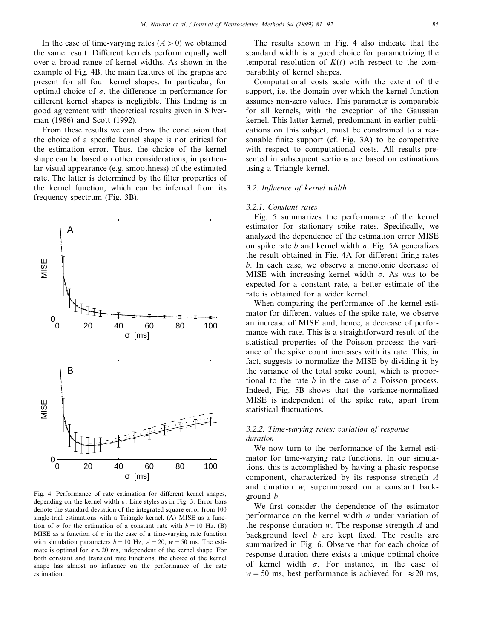In the case of time-varying rates  $(A > 0)$  we obtained the same result. Different kernels perform equally well over a broad range of kernel widths. As shown in the example of Fig. 4B, the main features of the graphs are present for all four kernel shapes. In particular, for optimal choice of  $\sigma$ , the difference in performance for different kernel shapes is negligible. This finding is in good agreement with theoretical results given in Silverman (1986) and Scott (1992).

From these results we can draw the conclusion that the choice of a specific kernel shape is not critical for the estimation error. Thus, the choice of the kernel shape can be based on other considerations, in particular visual appearance (e.g. smoothness) of the estimated rate. The latter is determined by the filter properties of the kernel function, which can be inferred from its frequency spectrum (Fig. 3B).



Fig. 4. Performance of rate estimation for different kernel shapes, depending on the kernel width  $\sigma$ . Line styles as in Fig. 3. Error bars denote the standard deviation of the integrated square error from 100 single-trial estimations with a Triangle kernel. (A) MISE as a function of  $\sigma$  for the estimation of a constant rate with  $b=10$  Hz. (B) MISE as a function of  $\sigma$  in the case of a time-varying rate function with simulation parameters  $b = 10$  Hz,  $A = 20$ ,  $w = 50$  ms. The estimate is optimal for  $\sigma \approx 20$  ms, independent of the kernel shape. For both constant and transient rate functions, the choice of the kernel shape has almost no influence on the performance of the rate estimation.

The results shown in Fig. 4 also indicate that the standard width is a good choice for parametrizing the temporal resolution of  $K(t)$  with respect to the comparability of kernel shapes.

Computational costs scale with the extent of the support, i.e. the domain over which the kernel function assumes non-zero values. This parameter is comparable for all kernels, with the exception of the Gaussian kernel. This latter kernel, predominant in earlier publications on this subject, must be constrained to a reasonable finite support (cf. Fig. 3A) to be competitive with respect to computational costs. All results presented in subsequent sections are based on estimations using a Triangle kernel.

#### 3.2. *Influence of kernel width*

#### 3.2.1. *Constant rates*

Fig. 5 summarizes the performance of the kernel estimator for stationary spike rates. Specifically, we analyzed the dependence of the estimation error MISE on spike rate *b* and kernel width  $\sigma$ . Fig. 5A generalizes the result obtained in Fig. 4A for different firing rates *b*. In each case, we observe a monotonic decrease of MISE with increasing kernel width  $\sigma$ . As was to be expected for a constant rate, a better estimate of the rate is obtained for a wider kernel.

When comparing the performance of the kernel estimator for different values of the spike rate, we observe an increase of MISE and, hence, a decrease of performance with rate. This is a straightforward result of the statistical properties of the Poisson process: the variance of the spike count increases with its rate. This, in fact, suggests to normalize the MISE by dividing it by the variance of the total spike count, which is proportional to the rate *b* in the case of a Poisson process. Indeed, Fig. 5B shows that the variance-normalized MISE is independent of the spike rate, apart from statistical fluctuations.

## <sup>3</sup>.2.2. *Time*-6*arying rates*: 6*ariation of response duration*

We now turn to the performance of the kernel estimator for time-varying rate functions. In our simulations, this is accomplished by having a phasic response component, characterized by its response strength *A* and duration *w*, superimposed on a constant background *b*.

We first consider the dependence of the estimator performance on the kernel width  $\sigma$  under variation of the response duration *w*. The response strength *A* and background level *b* are kept fixed. The results are summarized in Fig. 6. Observe that for each choice of response duration there exists a unique optimal choice of kernel width  $\sigma$ . For instance, in the case of  $w = 50$  ms, best performance is achieved for  $\approx 20$  ms,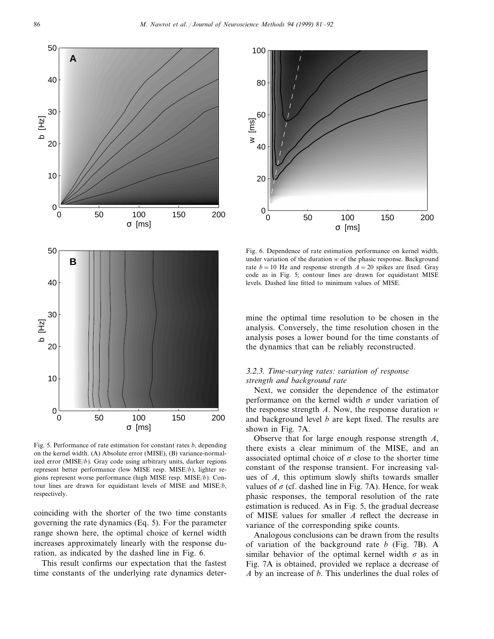

Fig. 5. Performance of rate estimation for constant rates *b*, depending on the kernel width. (A) Absolute error (MISE), (B) variance-normalized error (MISE/*b*). Gray code using arbitrary units, darker regions represent better performance (low MISE resp. MISE/*b*), lighter regions represent worse performance (high MISE resp. MISE/*b*). Contour lines are drawn for equidistant levels of MISE and MISE/*b*, respectively.

coinciding with the shorter of the two time constants governing the rate dynamics (Eq. 5). For the parameter range shown here, the optimal choice of kernel width increases approximately linearly with the response duration, as indicated by the dashed line in Fig. 6.

This result confirms our expectation that the fastest time constants of the underlying rate dynamics deter-



Fig. 6. Dependence of rate estimation performance on kernel width, under variation of the duration *w* of the phasic response. Background rate  $b = 10$  Hz and response strength  $A = 20$  spikes are fixed. Gray code as in Fig. 5; contour lines are drawn for equidistant MISE levels. Dashed line fitted to minimum values of MISE.

mine the optimal time resolution to be chosen in the analysis. Conversely, the time resolution chosen in the analysis poses a lower bound for the time constants of the dynamics that can be reliably reconstructed.

## <sup>3</sup>.2.3. *Time*-6*arying rates*: 6*ariation of response strength and background rate*

Next, we consider the dependence of the estimator performance on the kernel width  $\sigma$  under variation of the response strength *A*. Now, the response duration *w* and background level *b* are kept fixed. The results are shown in Fig. 7A.

Observe that for large enough response strength *A*, there exists a clear minimum of the MISE, and an associated optimal choice of  $\sigma$  close to the shorter time constant of the response transient. For increasing values of *A*, this optimum slowly shifts towards smaller values of  $\sigma$  (cf. dashed line in Fig. 7A). Hence, for weak phasic responses, the temporal resolution of the rate estimation is reduced. As in Fig. 5, the gradual decrease of MISE values for smaller *A* reflect the decrease in variance of the corresponding spike counts.

Analogous conclusions can be drawn from the results of variation of the background rate *b* (Fig. 7B). A similar behavior of the optimal kernel width  $\sigma$  as in Fig. 7A is obtained, provided we replace a decrease of *A* by an increase of *b*. This underlines the dual roles of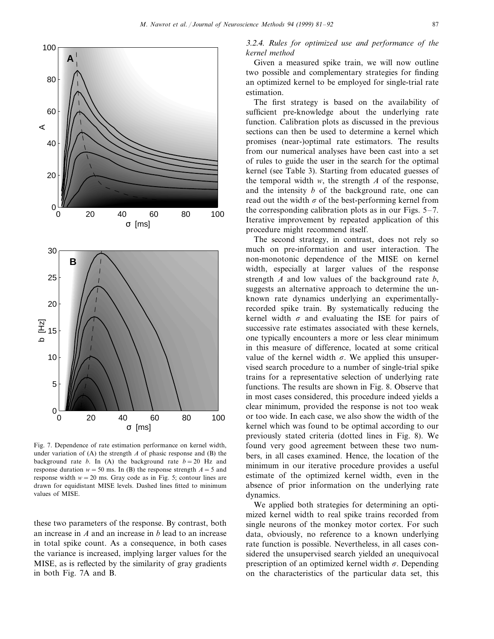

Fig. 7. Dependence of rate estimation performance on kernel width, under variation of  $(A)$  the strength  $A$  of phasic response and  $(B)$  the background rate *b*. In (A) the background rate  $b = 20$  Hz and response duration  $w = 50$  ms. In (B) the response strength  $A = 5$  and response width  $w = 20$  ms. Gray code as in Fig. 5; contour lines are drawn for equidistant MISE levels. Dashed lines fitted to minimum values of MISE.

these two parameters of the response. By contrast, both an increase in *A* and an increase in *b* lead to an increase in total spike count. As a consequence, in both cases the variance is increased, implying larger values for the MISE, as is reflected by the similarity of gray gradients in both Fig. 7A and B.

3.2.4. *Rules for optimized use and performance of the kernel method*

Given a measured spike train, we will now outline two possible and complementary strategies for finding an optimized kernel to be employed for single-trial rate estimation.

The first strategy is based on the availability of sufficient pre-knowledge about the underlying rate function. Calibration plots as discussed in the previous sections can then be used to determine a kernel which promises (near-)optimal rate estimators. The results from our numerical analyses have been cast into a set of rules to guide the user in the search for the optimal kernel (see Table 3). Starting from educated guesses of the temporal width  $w$ , the strength  $A$  of the response, and the intensity *b* of the background rate, one can read out the width  $\sigma$  of the best-performing kernel from the corresponding calibration plots as in our Figs. 5–7. Iterative improvement by repeated application of this procedure might recommend itself.

The second strategy, in contrast, does not rely so much on pre-information and user interaction. The non-monotonic dependence of the MISE on kernel width, especially at larger values of the response strength *A* and low values of the background rate *b*, suggests an alternative approach to determine the unknown rate dynamics underlying an experimentallyrecorded spike train. By systematically reducing the kernel width  $\sigma$  and evaluating the ISE for pairs of successive rate estimates associated with these kernels, one typically encounters a more or less clear minimum in this measure of difference, located at some critical value of the kernel width  $\sigma$ . We applied this unsupervised search procedure to a number of single-trial spike trains for a representative selection of underlying rate functions. The results are shown in Fig. 8. Observe that in most cases considered, this procedure indeed yields a clear minimum, provided the response is not too weak or too wide. In each case, we also show the width of the kernel which was found to be optimal according to our previously stated criteria (dotted lines in Fig. 8). We found very good agreement between these two numbers, in all cases examined. Hence, the location of the minimum in our iterative procedure provides a useful estimate of the optimized kernel width, even in the absence of prior information on the underlying rate dynamics.

We applied both strategies for determining an optimized kernel width to real spike trains recorded from single neurons of the monkey motor cortex. For such data, obviously, no reference to a known underlying rate function is possible. Nevertheless, in all cases considered the unsupervised search yielded an unequivocal prescription of an optimized kernel width  $\sigma$ . Depending on the characteristics of the particular data set, this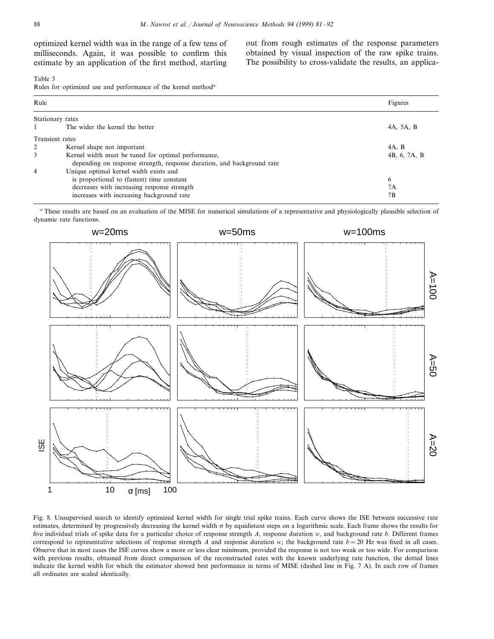optimized kernel width was in the range of a few tens of milliseconds. Again, it was possible to confirm this estimate by an application of the first method, starting out from rough estimates of the response parameters obtained by visual inspection of the raw spike trains. The possibility to cross-validate the results, an applica-

#### Table 3

Rules for optimized use and performance of the kernel method<sup>a</sup>

| Rule             |                                                                        | Figures      |  |  |
|------------------|------------------------------------------------------------------------|--------------|--|--|
| Stationary rates |                                                                        |              |  |  |
|                  | The wider the kernel the better                                        | 4A, 5A, B    |  |  |
| Transient rates  |                                                                        |              |  |  |
| 2                | Kernel shape not important                                             | 4A. B        |  |  |
| 3                | Kernel width must be tuned for optimal performance,                    | 4B, 6, 7A, B |  |  |
|                  | depending on response strength, response duration, and background rate |              |  |  |
| $\overline{4}$   | Unique optimal kernel width exists and                                 |              |  |  |
|                  | is proportional to (fastest) time constant                             | 6            |  |  |
|                  | decreases with increasing response strength                            | 7Α           |  |  |
|                  | increases with increasing background rate                              | 7Β           |  |  |

<sup>a</sup> These results are based on an evaluation of the MISE for numerical simulations of a representative and physiologically plausible selection of dynamic rate functions.



Fig. 8. Unsupervised search to identify optimized kernel width for single trial spike trains. Each curve shows the ISE between successive rate estimates, determined by progressively decreasing the kernel width  $\sigma$  by equidistant steps on a logarithmic scale. Each frame shows the results for five individual trials of spike data for a particular choice of response strength *A*, response duration *w*, and background rate *b*. Different frames correspond to representative selections of response strength *A* and response duration *w*; the background rate  $b = 20$  Hz was fixed in all cases. Observe that in most cases the ISE curves show a more or less clear minimum, provided the response is not too weak or too wide. For comparison with previous results, obtained from direct comparison of the reconstructed rates with the known underlying rate function, the dotted lines indicate the kernel width for which the estimator showed best performance in terms of MISE (dashed line in Fig. 7 A). In each row of frames all ordinates are scaled identically.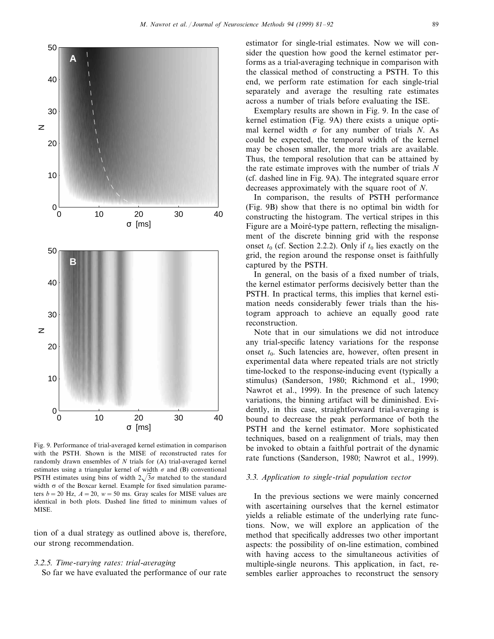

Fig. 9. Performance of trial-averaged kernel estimation in comparison with the PSTH. Shown is the MISE of reconstructed rates for randomly drawn ensembles of *N* trials for (A) trial-averaged kernel estimates using a triangular kernel of width  $\sigma$  and (B) conventional PSTH estimates using bins of width  $2\sqrt{3}\sigma$  matched to the standard width  $\sigma$  of the Boxcar kernel. Example for fixed simulation parameters  $b = 20$  Hz,  $A = 20$ ,  $w = 50$  ms. Gray scales for MISE values are identical in both plots. Dashed line fitted to minimum values of MISE.

tion of a dual strategy as outlined above is, therefore, our strong recommendation.

# <sup>3</sup>.2.5. *Time*-6*arying rates*: *trial*-*a*6*eraging*

So far we have evaluated the performance of our rate

estimator for single-trial estimates. Now we will consider the question how good the kernel estimator performs as a trial-averaging technique in comparison with the classical method of constructing a PSTH. To this end, we perform rate estimation for each single-trial separately and average the resulting rate estimates across a number of trials before evaluating the ISE.

Exemplary results are shown in Fig. 9. In the case of kernel estimation (Fig. 9A) there exists a unique optimal kernel width  $\sigma$  for any number of trials *N*. As could be expected, the temporal width of the kernel may be chosen smaller, the more trials are available. Thus, the temporal resolution that can be attained by the rate estimate improves with the number of trials *N* (cf. dashed line in Fig. 9A). The integrated square error decreases approximately with the square root of *N*.

In comparison, the results of PSTH performance (Fig. 9B) show that there is no optimal bin width for constructing the histogram. The vertical stripes in this Figure are a Moiré-type pattern, reflecting the misalignment of the discrete binning grid with the response onset  $t_0$  (cf. Section 2.2.2). Only if  $t_0$  lies exactly on the grid, the region around the response onset is faithfully captured by the PSTH.

In general, on the basis of a fixed number of trials, the kernel estimator performs decisively better than the PSTH. In practical terms, this implies that kernel estimation needs considerably fewer trials than the histogram approach to achieve an equally good rate reconstruction.

Note that in our simulations we did not introduce any trial-specific latency variations for the response onset  $t_0$ . Such latencies are, however, often present in experimental data where repeated trials are not strictly time-locked to the response-inducing event (typically a stimulus) (Sanderson, 1980; Richmond et al., 1990; Nawrot et al., 1999). In the presence of such latency variations, the binning artifact will be diminished. Evidently, in this case, straightforward trial-averaging is bound to decrease the peak performance of both the PSTH and the kernel estimator. More sophisticated techniques, based on a realignment of trials, may then be invoked to obtain a faithful portrait of the dynamic rate functions (Sanderson, 1980; Nawrot et al., 1999).

#### <sup>3</sup>.3. *Application to single*-*trial population* 6*ector*

In the previous sections we were mainly concerned with ascertaining ourselves that the kernel estimator yields a reliable estimate of the underlying rate functions. Now, we will explore an application of the method that specifically addresses two other important aspects: the possibility of on-line estimation, combined with having access to the simultaneous activities of multiple-single neurons. This application, in fact, resembles earlier approaches to reconstruct the sensory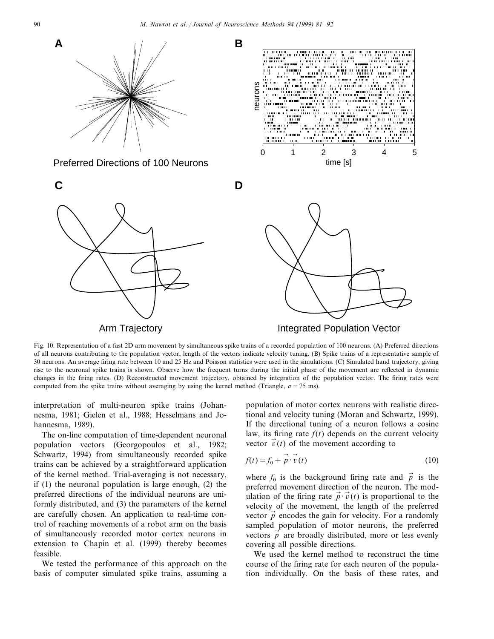

Fig. 10. Representation of a fast 2D arm movement by simultaneous spike trains of a recorded population of 100 neurons. (A) Preferred directions of all neurons contributing to the population vector, length of the vectors indicate velocity tuning. (B) Spike trains of a representative sample of 30 neurons. An average firing rate between 10 and 25 Hz and Poisson statistics were used in the simulations. (C) Simulated hand trajectory, giving rise to the neuronal spike trains is shown. Observe how the frequent turns during the initial phase of the movement are reflected in dynamic changes in the firing rates. (D) Reconstructed movement trajectory, obtained by integration of the population vector. The firing rates were computed from the spike trains without averaging by using the kernel method (Triangle,  $\sigma$  = 75 ms).

interpretation of multi-neuron spike trains (Johannesma, 1981; Gielen et al., 1988; Hesselmans and Johannesma, 1989).

The on-line computation of time-dependent neuronal population vectors (Georgopoulos et al., 1982; Schwartz, 1994) from simultaneously recorded spike trains can be achieved by a straightforward application of the kernel method. Trial-averaging is not necessary, if (1) the neuronal population is large enough, (2) the preferred directions of the individual neurons are uniformly distributed, and (3) the parameters of the kernel are carefully chosen. An application to real-time control of reaching movements of a robot arm on the basis of simultaneously recorded motor cortex neurons in extension to Chapin et al. (1999) thereby becomes feasible.

We tested the performance of this approach on the basis of computer simulated spike trains, assuming a population of motor cortex neurons with realistic directional and velocity tuning (Moran and Schwartz, 1999). If the directional tuning of a neuron follows a cosine law, its firing rate  $f(t)$  depends on the current velocity vector  $\vec{v}(t)$  of the movement according to

$$
f(t) = f_0 + \vec{p} \cdot \vec{v}(t) \tag{10}
$$

where  $f_0$  is the background firing rate and  $\vec{p}$  is the preferred movement direction of the neuron. The modulation of the firing rate  $\vec{p} \cdot \vec{v}(t)$  is proportional to the velocity of the movement, the length of the preferred vector  $\vec{p}$  encodes the gain for velocity. For a randomly sampled population of motor neurons, the preferred vectors  $\vec{p}$  are broadly distributed, more or less evenly covering all possible directions.

We used the kernel method to reconstruct the time course of the firing rate for each neuron of the population individually. On the basis of these rates, and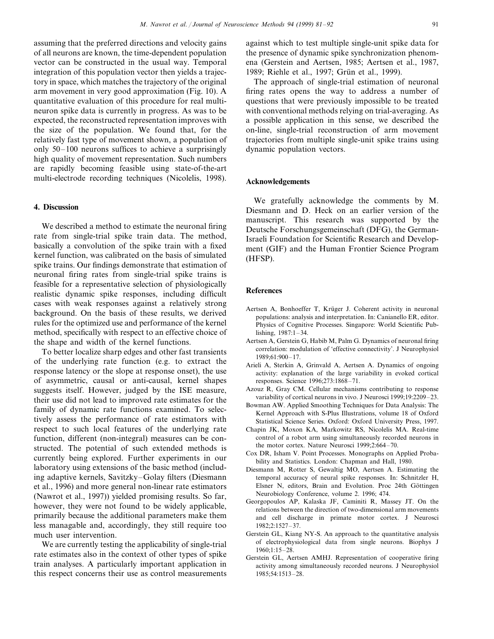assuming that the preferred directions and velocity gains of all neurons are known, the time-dependent population vector can be constructed in the usual way. Temporal integration of this population vector then yields a trajectory in space, which matches the trajectory of the original arm movement in very good approximation (Fig. 10). A quantitative evaluation of this procedure for real multineuron spike data is currently in progress. As was to be expected, the reconstructed representation improves with the size of the population. We found that, for the relatively fast type of movement shown, a population of only 50–100 neurons suffices to achieve a surprisingly high quality of movement representation. Such numbers are rapidly becoming feasible using state-of-the-art multi-electrode recording techniques (Nicolelis, 1998).

## **4. Discussion**

We described a method to estimate the neuronal firing rate from single-trial spike train data. The method, basically a convolution of the spike train with a fixed kernel function, was calibrated on the basis of simulated spike trains. Our findings demonstrate that estimation of neuronal firing rates from single-trial spike trains is feasible for a representative selection of physiologically realistic dynamic spike responses, including difficult cases with weak responses against a relatively strong background. On the basis of these results, we derived rules for the optimized use and performance of the kernel method, specifically with respect to an effective choice of the shape and width of the kernel functions.

To better localize sharp edges and other fast transients of the underlying rate function (e.g. to extract the response latency or the slope at response onset), the use of asymmetric, causal or anti-causal, kernel shapes suggests itself. However, judged by the ISE measure, their use did not lead to improved rate estimates for the family of dynamic rate functions examined. To selectively assess the performance of rate estimators with respect to such local features of the underlying rate function, different (non-integral) measures can be constructed. The potential of such extended methods is currently being explored. Further experiments in our laboratory using extensions of the basic method (including adaptive kernels, Savitzky–Golay filters (Diesmann et al., 1996) and more general non-linear rate estimators (Nawrot et al., 1997)) yielded promising results. So far, however, they were not found to be widely applicable, primarily because the additional parameters make them less managable and, accordingly, they still require too much user intervention.

We are currently testing the applicability of single-trial rate estimates also in the context of other types of spike train analyses. A particularly important application in this respect concerns their use as control measurements

against which to test multiple single-unit spike data for the presence of dynamic spike synchronization phenomena (Gerstein and Aertsen, 1985; Aertsen et al., 1987, 1989; Riehle et al., 1997; Grün et al., 1999).

The approach of single-trial estimation of neuronal firing rates opens the way to address a number of questions that were previously impossible to be treated with conventional methods relying on trial-averaging. As a possible application in this sense, we described the on-line, single-trial reconstruction of arm movement trajectories from multiple single-unit spike trains using dynamic population vectors.

#### **Acknowledgements**

We gratefully acknowledge the comments by M. Diesmann and D. Heck on an earlier version of the manuscript. This research was supported by the Deutsche Forschungsgemeinschaft (DFG), the German-Israeli Foundation for Scientific Research and Development (GIF) and the Human Frontier Science Program (HFSP).

#### **References**

- Aertsen A, Bonhoeffer T, Krüger J. Coherent activity in neuronal populations: analysis and interpretation. In: Canianello ER, editor. Physics of Cognitive Processes. Singapore: World Scientific Publishing, 1987:1–34.
- Aertsen A, Gerstein G, Habib M, Palm G. Dynamics of neuronal firing correlation: modulation of 'effective connectivity'. J Neurophysiol 1989;61:900–17.
- Arieli A, Sterkin A, Grinvald A, Aertsen A. Dynamics of ongoing activity: explanation of the large variability in evoked cortical responses. Science 1996;273:1868–71.
- Azouz R, Gray CM. Cellular mechanisms contributing to response variability of cortical neurons in vivo. J Neurosci 1999;19:2209–23.
- Bowman AW. Applied Smoothing Techniques for Data Analysis: The Kernel Approach with S-Plus Illustrations, volume 18 of Oxford Statistical Science Series. Oxford: Oxford University Press, 1997.
- Chapin JK, Moxon KA, Markowitz RS, Nicolelis MA. Real-time control of a robot arm using simultaneously recorded neurons in the motor cortex. Nature Neurosci 1999;2:664–70.
- Cox DR, Isham V. Point Processes. Monographs on Applied Probability and Statistics. London: Chapman and Hall, 1980.
- Diesmann M, Rotter S, Gewaltig MO, Aertsen A. Estimating the temporal accuracy of neural spike responses. In: Schnitzler H, Elsner N, editors, Brain and Evolution. Proc 24th Göttingen Neurobiology Conference, volume 2. 1996; 474.
- Georgopoulos AP, Kalaska JF, Caminiti R, Massey JT. On the relations between the direction of two-dimensional arm movements and cell discharge in primate motor cortex. J Neurosci 1982;2:1527–37.
- Gerstein GL, Kiang NY-S. An approach to the quantitative analysis of electrophysiological data from single neurons. Biophys J 1960;1:15–28.
- Gerstein GL, Aertsen AMHJ. Representation of cooperative firing activity among simultaneously recorded neurons. J Neurophysiol 1985;54:1513–28.